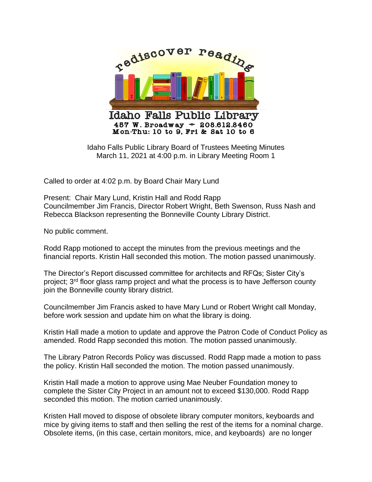

Idaho Falls Public Library Board of Trustees Meeting Minutes March 11, 2021 at 4:00 p.m. in Library Meeting Room 1

Called to order at 4:02 p.m. by Board Chair Mary Lund

Present: Chair Mary Lund, Kristin Hall and Rodd Rapp Councilmember Jim Francis, Director Robert Wright, Beth Swenson, Russ Nash and Rebecca Blackson representing the Bonneville County Library District.

No public comment.

Rodd Rapp motioned to accept the minutes from the previous meetings and the financial reports. Kristin Hall seconded this motion. The motion passed unanimously.

The Director's Report discussed committee for architects and RFQs; Sister City's project; 3rd floor glass ramp project and what the process is to have Jefferson county join the Bonneville county library district.

Councilmember Jim Francis asked to have Mary Lund or Robert Wright call Monday, before work session and update him on what the library is doing.

Kristin Hall made a motion to update and approve the Patron Code of Conduct Policy as amended. Rodd Rapp seconded this motion. The motion passed unanimously.

The Library Patron Records Policy was discussed. Rodd Rapp made a motion to pass the policy. Kristin Hall seconded the motion. The motion passed unanimously.

Kristin Hall made a motion to approve using Mae Neuber Foundation money to complete the Sister City Project in an amount not to exceed \$130,000. Rodd Rapp seconded this motion. The motion carried unanimously.

Kristen Hall moved to dispose of obsolete library computer monitors, keyboards and mice by giving items to staff and then selling the rest of the items for a nominal charge. Obsolete items, (in this case, certain monitors, mice, and keyboards) are no longer